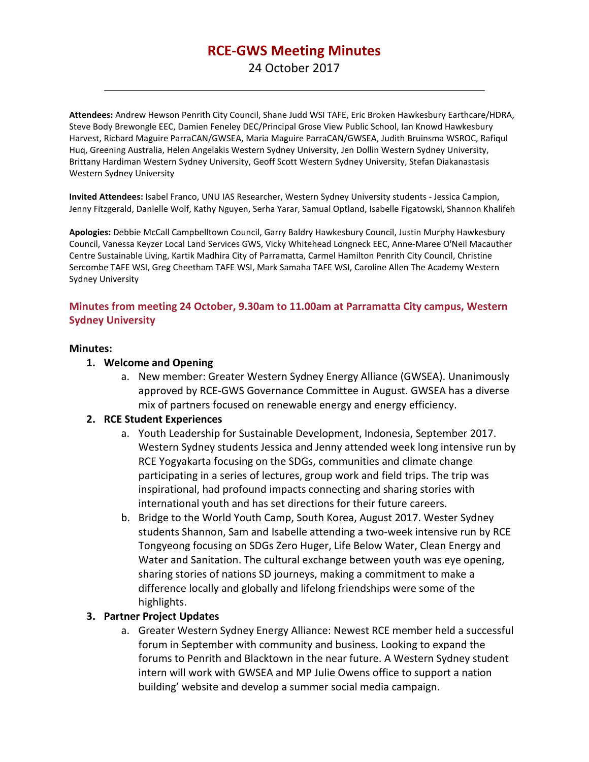# **RCE-GWS Meeting Minutes** 24 October 2017

**Attendees:** Andrew Hewson Penrith City Council, Shane Judd WSI TAFE, Eric Broken Hawkesbury Earthcare/HDRA, Steve Body Brewongle EEC, Damien Feneley DEC/Principal Grose View Public School, Ian Knowd Hawkesbury Harvest, Richard Maguire ParraCAN/GWSEA, Maria Maguire ParraCAN/GWSEA, Judith Bruinsma WSROC, Rafiqul Huq, Greening Australia, Helen Angelakis Western Sydney University, Jen Dollin Western Sydney University, Brittany Hardiman Western Sydney University, Geoff Scott Western Sydney University, Stefan Diakanastasis Western Sydney University

**Invited Attendees:** Isabel Franco, UNU IAS Researcher, Western Sydney University students - Jessica Campion, Jenny Fitzgerald, Danielle Wolf, Kathy Nguyen, Serha Yarar, Samual Optland, Isabelle Figatowski, Shannon Khalifeh

**Apologies:** Debbie McCall Campbelltown Council, Garry Baldry Hawkesbury Council, Justin Murphy Hawkesbury Council, Vanessa Keyzer Local Land Services GWS, Vicky Whitehead Longneck EEC, Anne-Maree O'Neil Macauther Centre Sustainable Living, Kartik Madhira City of Parramatta, Carmel Hamilton Penrith City Council, Christine Sercombe TAFE WSI, Greg Cheetham TAFE WSI, Mark Samaha TAFE WSI, Caroline Allen The Academy Western Sydney University

# **Minutes from meeting 24 October, 9.30am to 11.00am at Parramatta City campus, Western Sydney University**

#### **Minutes:**

#### **1. Welcome and Opening**

a. New member: Greater Western Sydney Energy Alliance (GWSEA). Unanimously approved by RCE-GWS Governance Committee in August. GWSEA has a diverse mix of partners focused on renewable energy and energy efficiency.

## **2. RCE Student Experiences**

- a. Youth Leadership for Sustainable Development, Indonesia, September 2017. Western Sydney students Jessica and Jenny attended week long intensive run by RCE Yogyakarta focusing on the SDGs, communities and climate change participating in a series of lectures, group work and field trips. The trip was inspirational, had profound impacts connecting and sharing stories with international youth and has set directions for their future careers.
- b. Bridge to the World Youth Camp, South Korea, August 2017. Wester Sydney students Shannon, Sam and Isabelle attending a two-week intensive run by RCE Tongyeong focusing on SDGs Zero Huger, Life Below Water, Clean Energy and Water and Sanitation. The cultural exchange between youth was eye opening, sharing stories of nations SD journeys, making a commitment to make a difference locally and globally and lifelong friendships were some of the highlights.

## **3. Partner Project Updates**

a. Greater Western Sydney Energy Alliance: Newest RCE member held a successful forum in September with community and business. Looking to expand the forums to Penrith and Blacktown in the near future. A Western Sydney student intern will work with GWSEA and MP Julie Owens office to support a nation building' website and develop a summer social media campaign.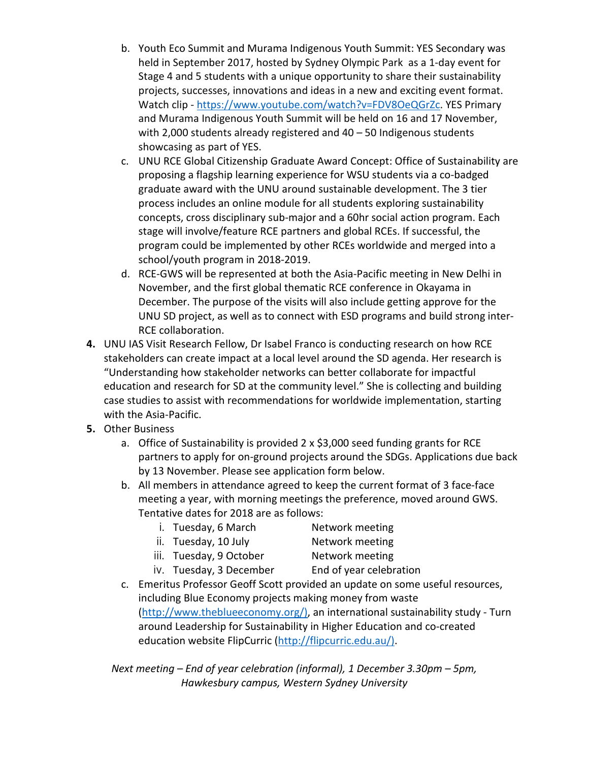- b. Youth Eco Summit and Murama Indigenous Youth Summit: YES Secondary was held in September 2017, hosted by Sydney Olympic Park as a 1-day event for Stage 4 and 5 students with a unique opportunity to share their sustainability projects, successes, innovations and ideas in a new and exciting event format. Watch clip - [https://www.youtube.com/watch?v=FDV8OeQGrZc.](https://www.youtube.com/watch?v=FDV8OeQGrZc) YES Primary and Murama Indigenous Youth Summit will be held on 16 and 17 November, with 2,000 students already registered and 40 – 50 Indigenous students showcasing as part of YES.
- c. UNU RCE Global Citizenship Graduate Award Concept: Office of Sustainability are proposing a flagship learning experience for WSU students via a co-badged graduate award with the UNU around sustainable development. The 3 tier process includes an online module for all students exploring sustainability concepts, cross disciplinary sub-major and a 60hr social action program. Each stage will involve/feature RCE partners and global RCEs. If successful, the program could be implemented by other RCEs worldwide and merged into a school/youth program in 2018-2019.
- d. RCE-GWS will be represented at both the Asia-Pacific meeting in New Delhi in November, and the first global thematic RCE conference in Okayama in December. The purpose of the visits will also include getting approve for the UNU SD project, as well as to connect with ESD programs and build strong inter-RCE collaboration.
- **4.** UNU IAS Visit Research Fellow, Dr Isabel Franco is conducting research on how RCE stakeholders can create impact at a local level around the SD agenda. Her research is "Understanding how stakeholder networks can better collaborate for impactful education and research for SD at the community level." She is collecting and building case studies to assist with recommendations for worldwide implementation, starting with the Asia-Pacific.
- **5.** Other Business
	- a. Office of Sustainability is provided 2 x \$3,000 seed funding grants for RCE partners to apply for on-ground projects around the SDGs. Applications due back by 13 November. Please see application form below.
	- b. All members in attendance agreed to keep the current format of 3 face-face meeting a year, with morning meetings the preference, moved around GWS. Tentative dates for 2018 are as follows:
		- i. Tuesday, 6 March Network meeting
		- ii. Tuesday, 10 July Network meeting

iii. Tuesday, 9 October Network meeting

iv. Tuesday, 3 December End of year celebration

c. Emeritus Professor Geoff Scott provided an update on some useful resources, including Blue Economy projects making money from waste [\(http://www.theblueeconomy.org/\),](http://www.theblueeconomy.org/)) an international sustainability study - Turn around Leadership for Sustainability in Higher Education and co-created education website FlipCurric [\(http://flipcurric.edu.au/\).](http://flipcurric.edu.au/))

*Next meeting – End of year celebration (informal), 1 December 3.30pm – 5pm, Hawkesbury campus, Western Sydney University*